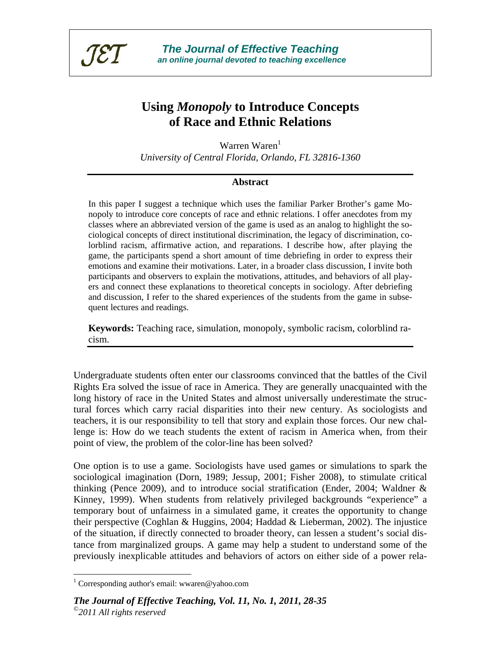

# **Using** *Monopoly* **to Introduce Concepts of Race and Ethnic Relations**

Warren Waren $<sup>1</sup>$ </sup> *University of Central Florida, Orlando, FL 32816-1360* 

#### **Abstract**

In this paper I suggest a technique which uses the familiar Parker Brother's game Monopoly to introduce core concepts of race and ethnic relations. I offer anecdotes from my classes where an abbreviated version of the game is used as an analog to highlight the sociological concepts of direct institutional discrimination, the legacy of discrimination, colorblind racism, affirmative action, and reparations. I describe how, after playing the game, the participants spend a short amount of time debriefing in order to express their emotions and examine their motivations. Later, in a broader class discussion, I invite both participants and observers to explain the motivations, attitudes, and behaviors of all players and connect these explanations to theoretical concepts in sociology. After debriefing and discussion, I refer to the shared experiences of the students from the game in subsequent lectures and readings.

**Keywords:** Teaching race, simulation, monopoly, symbolic racism, colorblind racism.

Undergraduate students often enter our classrooms convinced that the battles of the Civil Rights Era solved the issue of race in America. They are generally unacquainted with the long history of race in the United States and almost universally underestimate the structural forces which carry racial disparities into their new century. As sociologists and teachers, it is our responsibility to tell that story and explain those forces. Our new challenge is: How do we teach students the extent of racism in America when, from their point of view, the problem of the color-line has been solved?

One option is to use a game. Sociologists have used games or simulations to spark the sociological imagination (Dorn, 1989; Jessup, 2001; Fisher 2008), to stimulate critical thinking (Pence 2009), and to introduce social stratification (Ender, 2004; Waldner  $\&$ Kinney, 1999). When students from relatively privileged backgrounds "experience" a temporary bout of unfairness in a simulated game, it creates the opportunity to change their perspective (Coghlan & Huggins, 2004; Haddad & Lieberman, 2002). The injustice of the situation, if directly connected to broader theory, can lessen a student's social distance from marginalized groups. A game may help a student to understand some of the previously inexplicable attitudes and behaviors of actors on either side of a power rela-

 $\overline{a}$ 

<sup>&</sup>lt;sup>1</sup> Corresponding author's email: wwaren@yahoo.com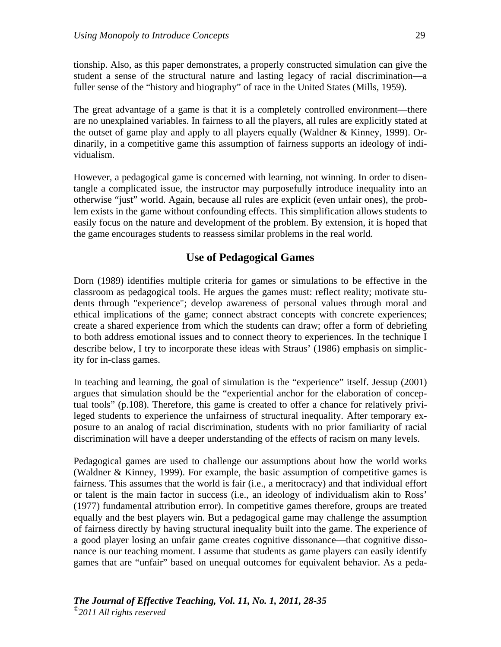tionship. Also, as this paper demonstrates, a properly constructed simulation can give the student a sense of the structural nature and lasting legacy of racial discrimination—a fuller sense of the "history and biography" of race in the United States (Mills, 1959).

The great advantage of a game is that it is a completely controlled environment—there are no unexplained variables. In fairness to all the players, all rules are explicitly stated at the outset of game play and apply to all players equally (Waldner & Kinney, 1999). Ordinarily, in a competitive game this assumption of fairness supports an ideology of individualism.

However, a pedagogical game is concerned with learning, not winning. In order to disentangle a complicated issue, the instructor may purposefully introduce inequality into an otherwise "just" world. Again, because all rules are explicit (even unfair ones), the problem exists in the game without confounding effects. This simplification allows students to easily focus on the nature and development of the problem. By extension, it is hoped that the game encourages students to reassess similar problems in the real world.

#### **Use of Pedagogical Games**

Dorn (1989) identifies multiple criteria for games or simulations to be effective in the classroom as pedagogical tools. He argues the games must: reflect reality; motivate students through "experience"; develop awareness of personal values through moral and ethical implications of the game; connect abstract concepts with concrete experiences; create a shared experience from which the students can draw; offer a form of debriefing to both address emotional issues and to connect theory to experiences. In the technique I describe below, I try to incorporate these ideas with Straus' (1986) emphasis on simplicity for in-class games.

In teaching and learning, the goal of simulation is the "experience" itself. Jessup (2001) argues that simulation should be the "experiential anchor for the elaboration of conceptual tools" (p.108). Therefore, this game is created to offer a chance for relatively privileged students to experience the unfairness of structural inequality. After temporary exposure to an analog of racial discrimination, students with no prior familiarity of racial discrimination will have a deeper understanding of the effects of racism on many levels.

Pedagogical games are used to challenge our assumptions about how the world works (Waldner & Kinney, 1999). For example, the basic assumption of competitive games is fairness. This assumes that the world is fair (i.e., a meritocracy) and that individual effort or talent is the main factor in success (i.e., an ideology of individualism akin to Ross' (1977) fundamental attribution error). In competitive games therefore, groups are treated equally and the best players win. But a pedagogical game may challenge the assumption of fairness directly by having structural inequality built into the game. The experience of a good player losing an unfair game creates cognitive dissonance—that cognitive dissonance is our teaching moment. I assume that students as game players can easily identify games that are "unfair" based on unequal outcomes for equivalent behavior. As a peda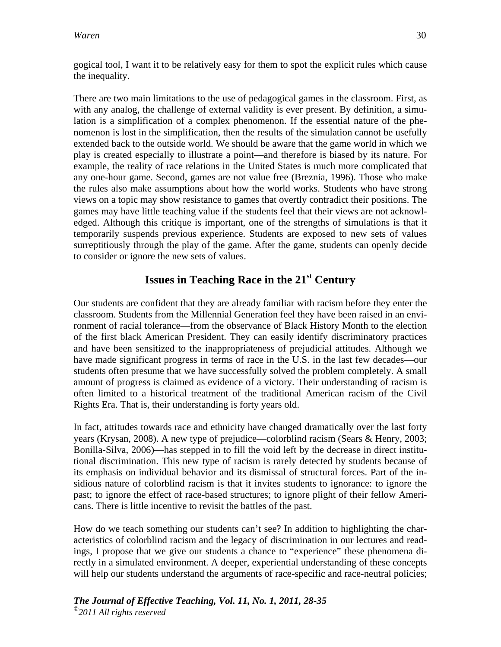gogical tool, I want it to be relatively easy for them to spot the explicit rules which cause the inequality.

There are two main limitations to the use of pedagogical games in the classroom. First, as with any analog, the challenge of external validity is ever present. By definition, a simulation is a simplification of a complex phenomenon. If the essential nature of the phenomenon is lost in the simplification, then the results of the simulation cannot be usefully extended back to the outside world. We should be aware that the game world in which we play is created especially to illustrate a point—and therefore is biased by its nature. For example, the reality of race relations in the United States is much more complicated that any one-hour game. Second, games are not value free (Breznia, 1996). Those who make the rules also make assumptions about how the world works. Students who have strong views on a topic may show resistance to games that overtly contradict their positions. The games may have little teaching value if the students feel that their views are not acknowledged. Although this critique is important, one of the strengths of simulations is that it temporarily suspends previous experience. Students are exposed to new sets of values surreptitiously through the play of the game. After the game, students can openly decide to consider or ignore the new sets of values.

# **Issues in Teaching Race in the 21st Century**

Our students are confident that they are already familiar with racism before they enter the classroom. Students from the Millennial Generation feel they have been raised in an environment of racial tolerance—from the observance of Black History Month to the election of the first black American President. They can easily identify discriminatory practices and have been sensitized to the inappropriateness of prejudicial attitudes. Although we have made significant progress in terms of race in the U.S. in the last few decades—our students often presume that we have successfully solved the problem completely. A small amount of progress is claimed as evidence of a victory. Their understanding of racism is often limited to a historical treatment of the traditional American racism of the Civil Rights Era. That is, their understanding is forty years old.

In fact, attitudes towards race and ethnicity have changed dramatically over the last forty years (Krysan, 2008). A new type of prejudice—colorblind racism (Sears & Henry, 2003; Bonilla-Silva, 2006)—has stepped in to fill the void left by the decrease in direct institutional discrimination. This new type of racism is rarely detected by students because of its emphasis on individual behavior and its dismissal of structural forces. Part of the insidious nature of colorblind racism is that it invites students to ignorance: to ignore the past; to ignore the effect of race-based structures; to ignore plight of their fellow Americans. There is little incentive to revisit the battles of the past.

How do we teach something our students can't see? In addition to highlighting the characteristics of colorblind racism and the legacy of discrimination in our lectures and readings, I propose that we give our students a chance to "experience" these phenomena directly in a simulated environment. A deeper, experiential understanding of these concepts will help our students understand the arguments of race-specific and race-neutral policies;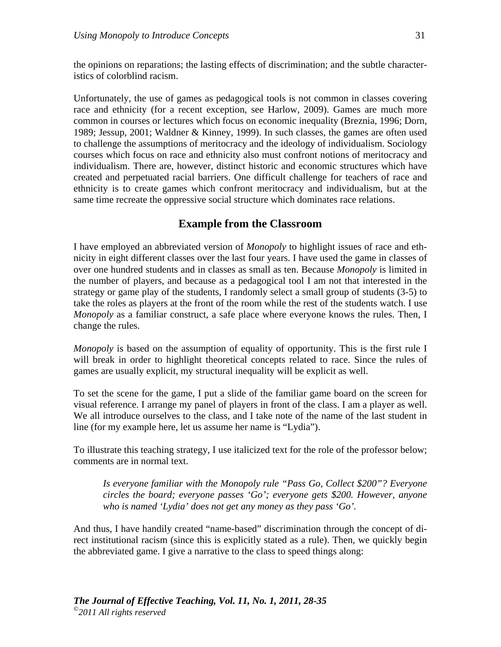the opinions on reparations; the lasting effects of discrimination; and the subtle characteristics of colorblind racism.

Unfortunately, the use of games as pedagogical tools is not common in classes covering race and ethnicity (for a recent exception, see Harlow, 2009). Games are much more common in courses or lectures which focus on economic inequality (Breznia, 1996; Dorn, 1989; Jessup, 2001; Waldner & Kinney, 1999). In such classes, the games are often used to challenge the assumptions of meritocracy and the ideology of individualism. Sociology courses which focus on race and ethnicity also must confront notions of meritocracy and individualism. There are, however, distinct historic and economic structures which have created and perpetuated racial barriers. One difficult challenge for teachers of race and ethnicity is to create games which confront meritocracy and individualism, but at the same time recreate the oppressive social structure which dominates race relations.

## **Example from the Classroom**

I have employed an abbreviated version of *Monopoly* to highlight issues of race and ethnicity in eight different classes over the last four years. I have used the game in classes of over one hundred students and in classes as small as ten. Because *Monopoly* is limited in the number of players, and because as a pedagogical tool I am not that interested in the strategy or game play of the students, I randomly select a small group of students (3-5) to take the roles as players at the front of the room while the rest of the students watch. I use *Monopoly* as a familiar construct, a safe place where everyone knows the rules. Then, I change the rules.

*Monopoly* is based on the assumption of equality of opportunity. This is the first rule I will break in order to highlight theoretical concepts related to race. Since the rules of games are usually explicit, my structural inequality will be explicit as well.

To set the scene for the game, I put a slide of the familiar game board on the screen for visual reference. I arrange my panel of players in front of the class. I am a player as well. We all introduce ourselves to the class, and I take note of the name of the last student in line (for my example here, let us assume her name is "Lydia").

To illustrate this teaching strategy, I use italicized text for the role of the professor below; comments are in normal text.

*Is everyone familiar with the Monopoly rule "Pass Go, Collect \$200"? Everyone circles the board; everyone passes 'Go'; everyone gets \$200. However, anyone who is named 'Lydia' does not get any money as they pass 'Go'.* 

And thus, I have handily created "name-based" discrimination through the concept of direct institutional racism (since this is explicitly stated as a rule). Then, we quickly begin the abbreviated game. I give a narrative to the class to speed things along: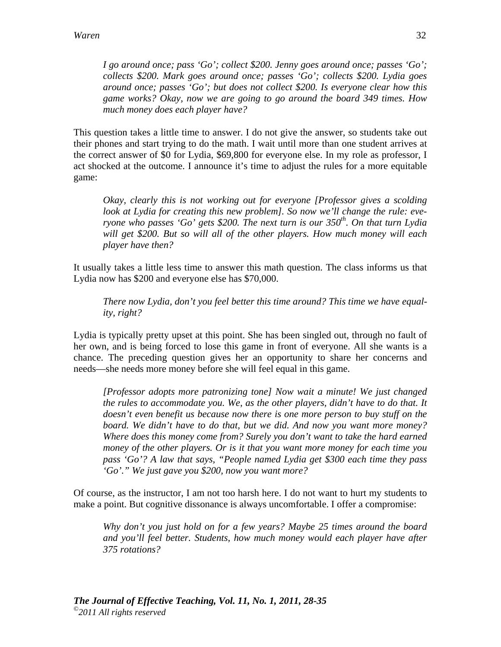*I go around once; pass 'Go'; collect \$200. Jenny goes around once; passes 'Go'; collects \$200. Mark goes around once; passes 'Go'; collects \$200. Lydia goes around once; passes 'Go'; but does not collect \$200. Is everyone clear how this game works? Okay, now we are going to go around the board 349 times. How much money does each player have?* 

This question takes a little time to answer. I do not give the answer, so students take out their phones and start trying to do the math. I wait until more than one student arrives at the correct answer of \$0 for Lydia, \$69,800 for everyone else. In my role as professor, I act shocked at the outcome. I announce it's time to adjust the rules for a more equitable game:

*Okay, clearly this is not working out for everyone [Professor gives a scolding look at Lydia for creating this new problem]. So now we'll change the rule: everyone who passes 'Go' gets \$200. The next turn is our 350<sup>th</sup>. On that turn Lydia will get \$200. But so will all of the other players. How much money will each player have then?* 

It usually takes a little less time to answer this math question. The class informs us that Lydia now has \$200 and everyone else has \$70,000.

*There now Lydia, don't you feel better this time around? This time we have equality, right?* 

Lydia is typically pretty upset at this point. She has been singled out, through no fault of her own, and is being forced to lose this game in front of everyone. All she wants is a chance. The preceding question gives her an opportunity to share her concerns and needs—she needs more money before she will feel equal in this game.

*[Professor adopts more patronizing tone] Now wait a minute! We just changed the rules to accommodate you. We, as the other players, didn't have to do that. It doesn't even benefit us because now there is one more person to buy stuff on the board. We didn't have to do that, but we did. And now you want more money? Where does this money come from? Surely you don't want to take the hard earned money of the other players. Or is it that you want more money for each time you pass 'Go'? A law that says, "People named Lydia get \$300 each time they pass 'Go'." We just gave you \$200, now you want more?* 

Of course, as the instructor, I am not too harsh here. I do not want to hurt my students to make a point. But cognitive dissonance is always uncomfortable. I offer a compromise:

*Why don't you just hold on for a few years? Maybe 25 times around the board and you'll feel better. Students, how much money would each player have after 375 rotations?*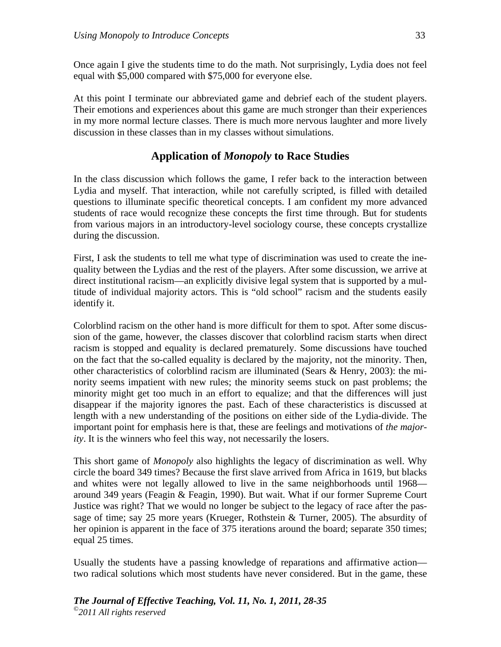Once again I give the students time to do the math. Not surprisingly, Lydia does not feel equal with \$5,000 compared with \$75,000 for everyone else.

At this point I terminate our abbreviated game and debrief each of the student players. Their emotions and experiences about this game are much stronger than their experiences in my more normal lecture classes. There is much more nervous laughter and more lively discussion in these classes than in my classes without simulations.

## **Application of** *Monopoly* **to Race Studies**

In the class discussion which follows the game, I refer back to the interaction between Lydia and myself. That interaction, while not carefully scripted, is filled with detailed questions to illuminate specific theoretical concepts. I am confident my more advanced students of race would recognize these concepts the first time through. But for students from various majors in an introductory-level sociology course, these concepts crystallize during the discussion.

First, I ask the students to tell me what type of discrimination was used to create the inequality between the Lydias and the rest of the players. After some discussion, we arrive at direct institutional racism—an explicitly divisive legal system that is supported by a multitude of individual majority actors. This is "old school" racism and the students easily identify it.

Colorblind racism on the other hand is more difficult for them to spot. After some discussion of the game, however, the classes discover that colorblind racism starts when direct racism is stopped and equality is declared prematurely. Some discussions have touched on the fact that the so-called equality is declared by the majority, not the minority. Then, other characteristics of colorblind racism are illuminated (Sears  $\&$  Henry, 2003): the minority seems impatient with new rules; the minority seems stuck on past problems; the minority might get too much in an effort to equalize; and that the differences will just disappear if the majority ignores the past. Each of these characteristics is discussed at length with a new understanding of the positions on either side of the Lydia-divide. The important point for emphasis here is that, these are feelings and motivations of *the majority*. It is the winners who feel this way, not necessarily the losers.

This short game of *Monopoly* also highlights the legacy of discrimination as well. Why circle the board 349 times? Because the first slave arrived from Africa in 1619, but blacks and whites were not legally allowed to live in the same neighborhoods until 1968 around 349 years (Feagin & Feagin, 1990). But wait. What if our former Supreme Court Justice was right? That we would no longer be subject to the legacy of race after the passage of time; say 25 more years (Krueger, Rothstein & Turner, 2005). The absurdity of her opinion is apparent in the face of 375 iterations around the board; separate 350 times; equal 25 times.

Usually the students have a passing knowledge of reparations and affirmative action two radical solutions which most students have never considered. But in the game, these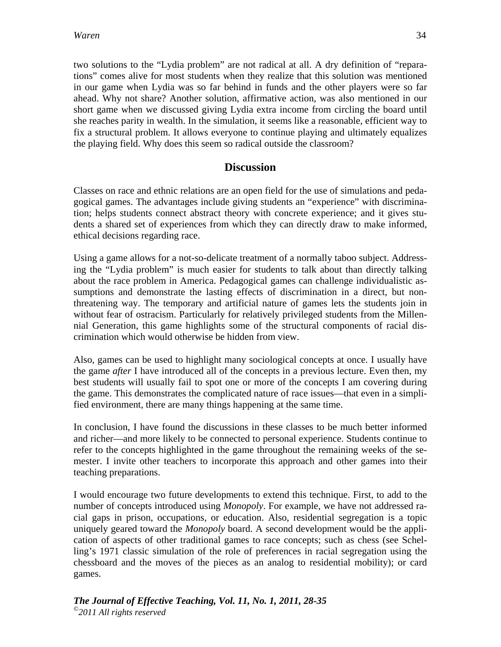two solutions to the "Lydia problem" are not radical at all. A dry definition of "reparations" comes alive for most students when they realize that this solution was mentioned in our game when Lydia was so far behind in funds and the other players were so far ahead. Why not share? Another solution, affirmative action, was also mentioned in our short game when we discussed giving Lydia extra income from circling the board until she reaches parity in wealth. In the simulation, it seems like a reasonable, efficient way to fix a structural problem. It allows everyone to continue playing and ultimately equalizes the playing field. Why does this seem so radical outside the classroom?

## **Discussion**

Classes on race and ethnic relations are an open field for the use of simulations and pedagogical games. The advantages include giving students an "experience" with discrimination; helps students connect abstract theory with concrete experience; and it gives students a shared set of experiences from which they can directly draw to make informed, ethical decisions regarding race.

Using a game allows for a not-so-delicate treatment of a normally taboo subject. Addressing the "Lydia problem" is much easier for students to talk about than directly talking about the race problem in America. Pedagogical games can challenge individualistic assumptions and demonstrate the lasting effects of discrimination in a direct, but nonthreatening way. The temporary and artificial nature of games lets the students join in without fear of ostracism. Particularly for relatively privileged students from the Millennial Generation, this game highlights some of the structural components of racial discrimination which would otherwise be hidden from view.

Also, games can be used to highlight many sociological concepts at once. I usually have the game *after* I have introduced all of the concepts in a previous lecture. Even then, my best students will usually fail to spot one or more of the concepts I am covering during the game. This demonstrates the complicated nature of race issues—that even in a simplified environment, there are many things happening at the same time.

In conclusion, I have found the discussions in these classes to be much better informed and richer—and more likely to be connected to personal experience. Students continue to refer to the concepts highlighted in the game throughout the remaining weeks of the semester. I invite other teachers to incorporate this approach and other games into their teaching preparations.

I would encourage two future developments to extend this technique. First, to add to the number of concepts introduced using *Monopoly*. For example, we have not addressed racial gaps in prison, occupations, or education. Also, residential segregation is a topic uniquely geared toward the *Monopoly* board. A second development would be the application of aspects of other traditional games to race concepts; such as chess (see Schelling's 1971 classic simulation of the role of preferences in racial segregation using the chessboard and the moves of the pieces as an analog to residential mobility); or card games.